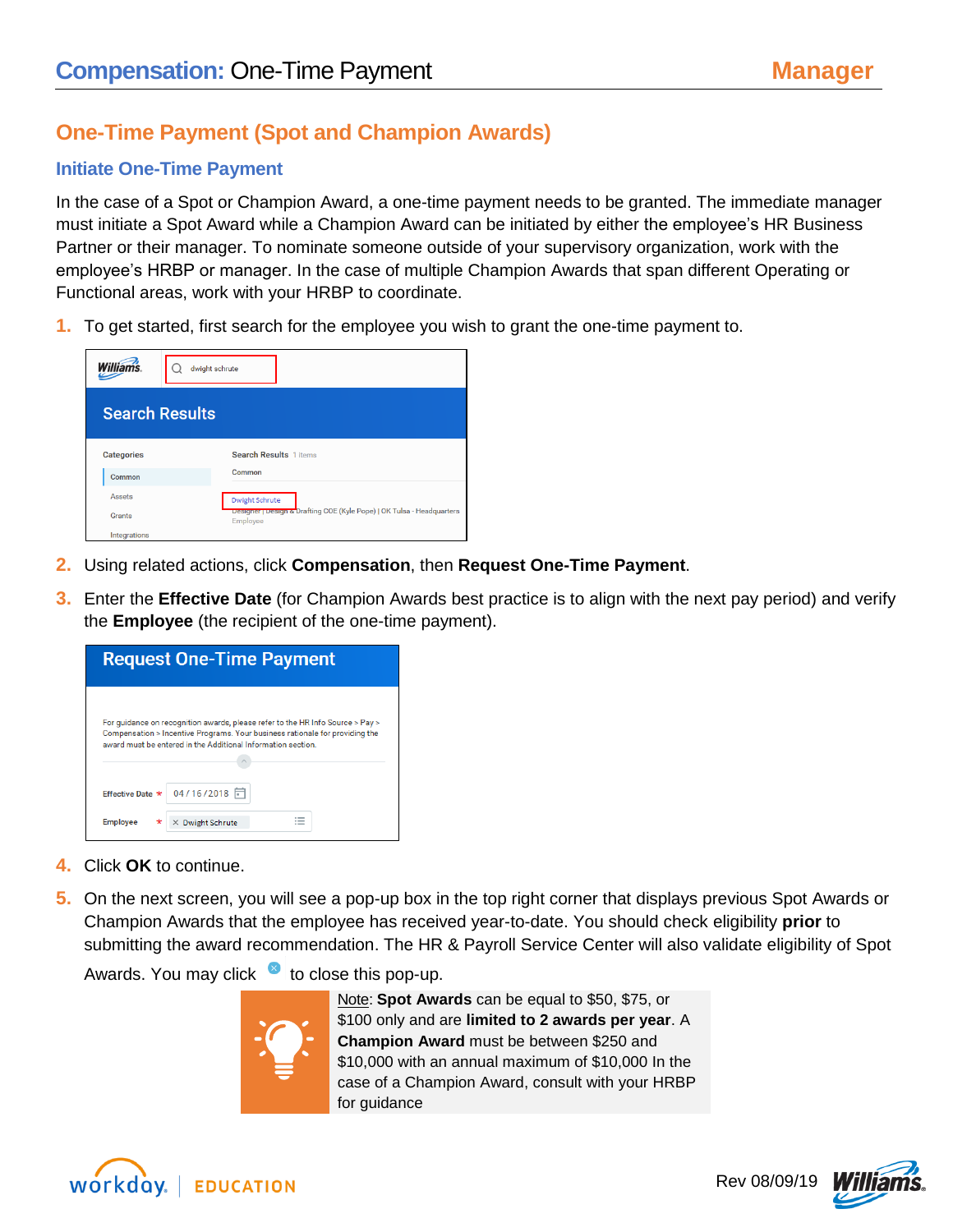# **One-Time Payment (Spot and Champion Awards)**

## **Initiate One-Time Payment**

In the case of a Spot or Champion Award, a one-time payment needs to be granted. The immediate manager must initiate a Spot Award while a Champion Award can be initiated by either the employee's HR Business Partner or their manager. To nominate someone outside of your supervisory organization, work with the employee's HRBP or manager. In the case of multiple Champion Awards that span different Operating or Functional areas, work with your HRBP to coordinate.

**1.** To get started, first search for the employee you wish to grant the one-time payment to.

| <b>Williams</b>       | dwight schrute                                                                     |
|-----------------------|------------------------------------------------------------------------------------|
| <b>Search Results</b> |                                                                                    |
| <b>Categories</b>     | <b>Search Results 1 items</b>                                                      |
| Common                | Common                                                                             |
| Assets                | <b>Dwight Schrute</b>                                                              |
| Grants                | Designer   Design & Drafting COE (Kyle Pope)   OK Tulsa - Headquarters<br>Employee |
| Integrations          |                                                                                    |

- **2.** Using related actions, click **Compensation**, then **Request One-Time Payment**.
- **3.** Enter the **Effective Date** (for Champion Awards best practice is to align with the next pay period) and verify the **Employee** (the recipient of the one-time payment).

| <b>Request One-Time Payment</b> |                                                              |                                                                                                                                                                |
|---------------------------------|--------------------------------------------------------------|----------------------------------------------------------------------------------------------------------------------------------------------------------------|
|                                 | award must be entered in the Additional Information section. | For quidance on recognition awards, please refer to the HR Info Source > Pay ><br>Compensation > Incentive Programs. Your business rationale for providing the |
|                                 | Effective Date * 04/16/2018                                  |                                                                                                                                                                |
| <b>Employee</b>                 | <b>Dwight Schrute</b>                                        |                                                                                                                                                                |

- **4.** Click **OK** to continue.
- **5.** On the next screen, you will see a pop-up box in the top right corner that displays previous Spot Awards or Champion Awards that the employee has received year-to-date. You should check eligibility **prior** to submitting the award recommendation. The HR & Payroll Service Center will also validate eligibility of Spot

Awards. You may click  $\bullet$  to close this pop-up.



Note: **Spot Awards** can be equal to \$50, \$75, or \$100 only and are **limited to 2 awards per year**. A **Champion Award** must be between \$250 and \$10,000 with an annual maximum of \$10,000 In the case of a Champion Award, consult with your HRBP for guidance





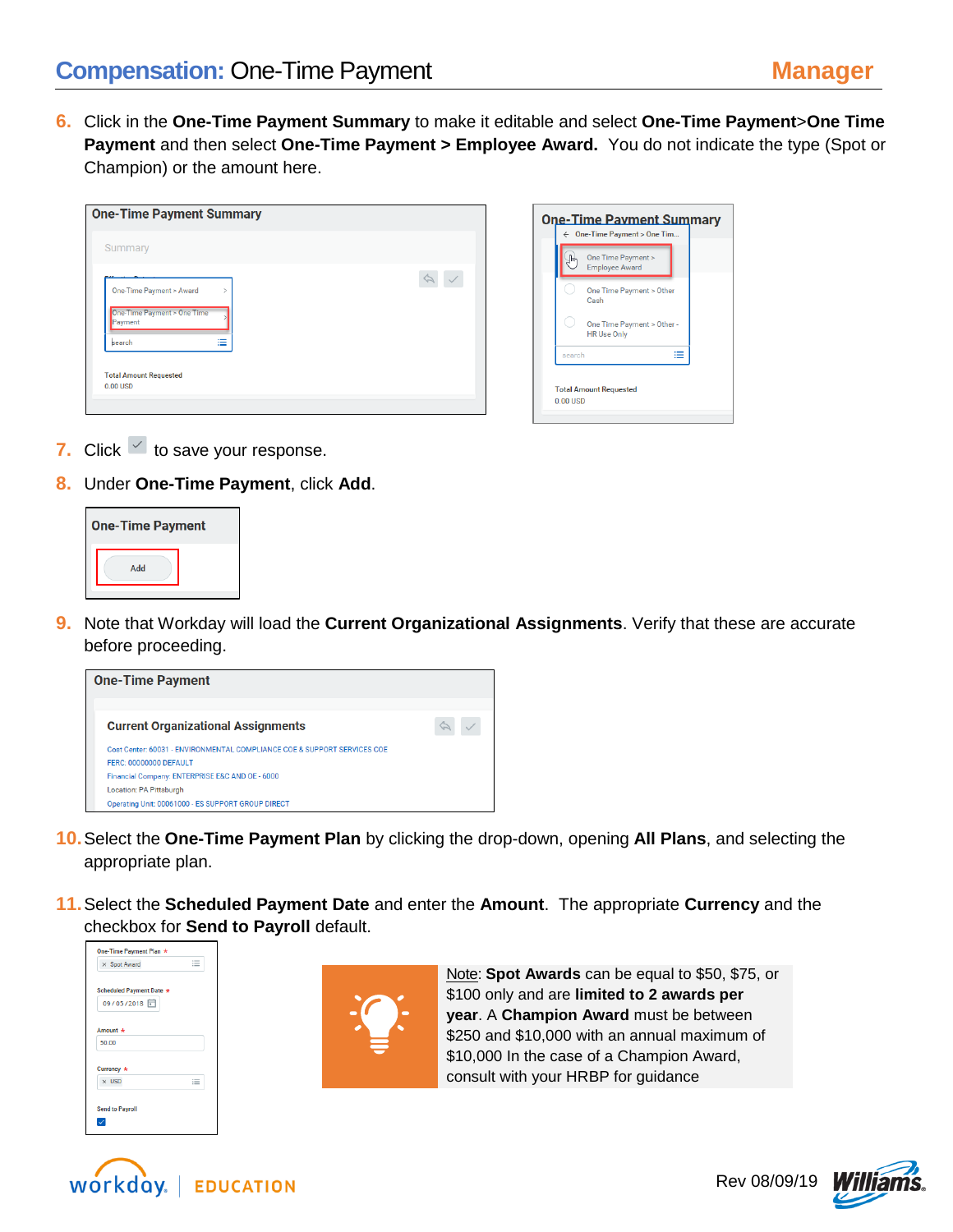**6.** Click in the **One-Time Payment Summary** to make it editable and select **One-Time Payment**>**One Time Payment** and then select **One-Time Payment > Employee Award.** You do not indicate the type (Spot or Champion) or the amount here.

| <b>One-Time Payment Summary</b>                                               | <b>One-Time Payment Summary</b>                                                                                                                                     |
|-------------------------------------------------------------------------------|---------------------------------------------------------------------------------------------------------------------------------------------------------------------|
| Summary<br>One-Time Payment > Award<br>One-Time Payment > One Time<br>Payment | ← One-Time Payment > One Tim<br>One Time Payment ><br><b>Employee Award</b><br>One Time Payment > Other<br>Cash<br>One Time Payment > Other -<br><b>HR Use Only</b> |
| 洼<br>search<br><b>Total Amount Requested</b><br>0.00 USD                      | ≡<br>search<br><b>Total Amount Requested</b><br>$0.00$ USD                                                                                                          |

- **7.** Click  $\leq$  to save your response.
- **8.** Under **One-Time Payment**, click **Add**.

| <b>One-Time Payment</b> |  |  |  |  |
|-------------------------|--|--|--|--|
| Add                     |  |  |  |  |

**9.** Note that Workday will load the **Current Organizational Assignments**. Verify that these are accurate before proceeding.



- **10.**Select the **One-Time Payment Plan** by clicking the drop-down, opening **All Plans**, and selecting the appropriate plan.
- **11.**Select the **Scheduled Payment Date** and enter the **Amount**. The appropriate **Currency** and the checkbox for **Send to Payroll** default.





Note: **Spot Awards** can be equal to \$50, \$75, or \$100 only and are **limited to 2 awards per year**. A **Champion Award** must be between \$250 and \$10,000 with an annual maximum of \$10,000 In the case of a Champion Award, consult with your HRBP for guidance



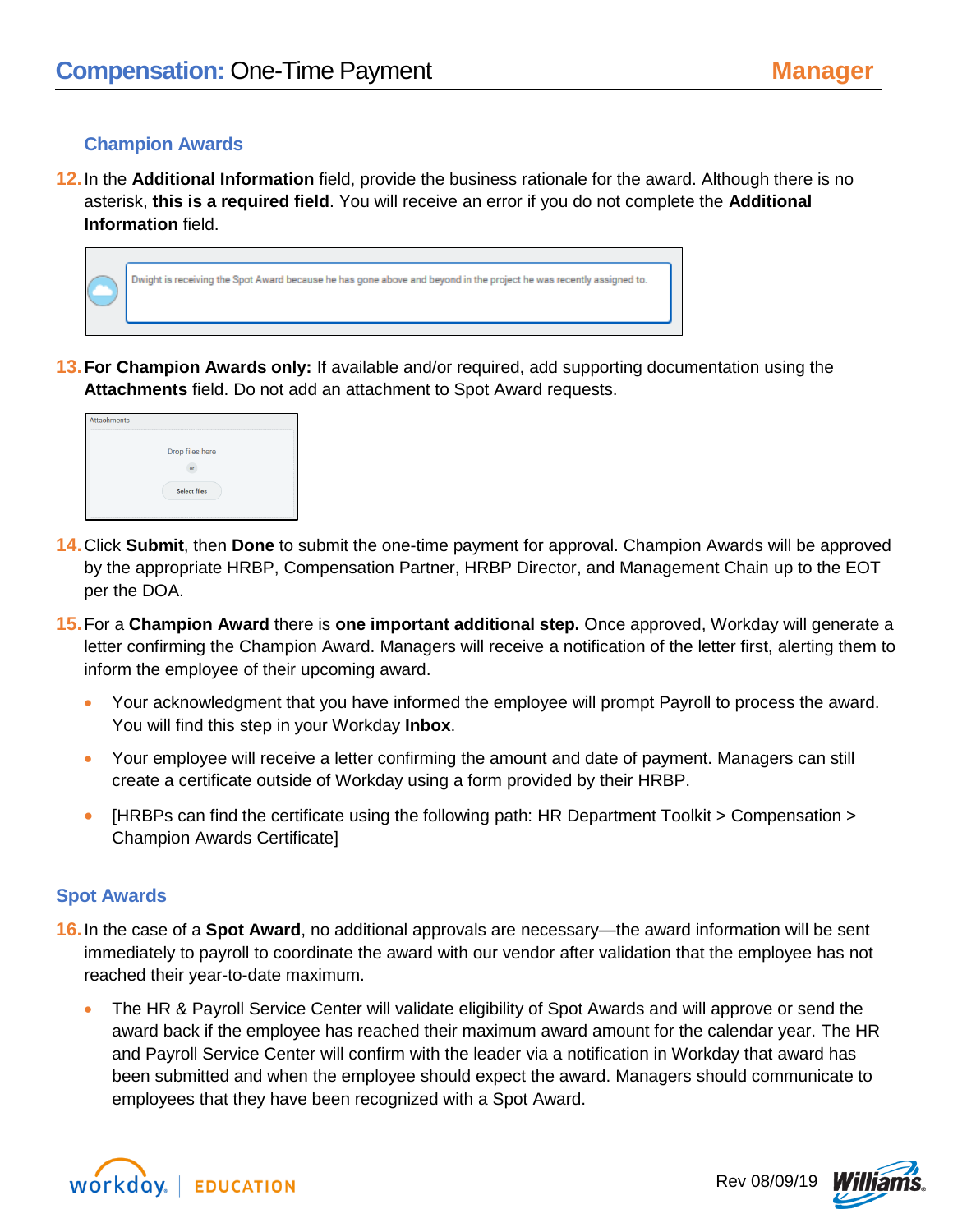### **Champion Awards**

**12.**In the **Additional Information** field, provide the business rationale for the award. Although there is no asterisk, **this is a required field**. You will receive an error if you do not complete the **Additional Information** field.



**13.For Champion Awards only:** If available and/or required, add supporting documentation using the **Attachments** field. Do not add an attachment to Spot Award requests.



- **14.**Click **Submit**, then **Done** to submit the one-time payment for approval. Champion Awards will be approved by the appropriate HRBP, Compensation Partner, HRBP Director, and Management Chain up to the EOT per the DOA.
- **15.**For a **Champion Award** there is **one important additional step.** Once approved, Workday will generate a letter confirming the Champion Award. Managers will receive a notification of the letter first, alerting them to inform the employee of their upcoming award.
	- Your acknowledgment that you have informed the employee will prompt Payroll to process the award. You will find this step in your Workday **Inbox**.
	- Your employee will receive a letter confirming the amount and date of payment. Managers can still create a certificate outside of Workday using a form provided by their HRBP.
	- [HRBPs can find the certificate using the following path: HR Department Toolkit > Compensation > Champion Awards Certificate]

### **Spot Awards**

- **16.**In the case of a **Spot Award**, no additional approvals are necessary—the award information will be sent immediately to payroll to coordinate the award with our vendor after validation that the employee has not reached their year-to-date maximum.
	- The HR & Payroll Service Center will validate eligibility of Spot Awards and will approve or send the award back if the employee has reached their maximum award amount for the calendar year. The HR and Payroll Service Center will confirm with the leader via a notification in Workday that award has been submitted and when the employee should expect the award. Managers should communicate to employees that they have been recognized with a Spot Award.